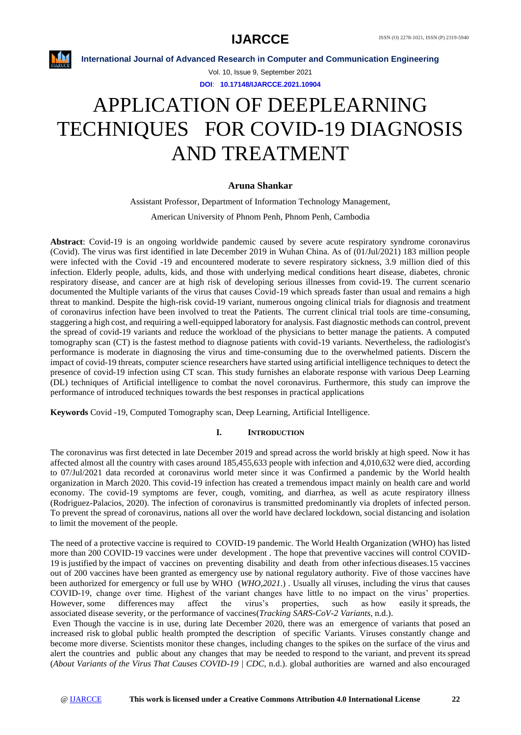

Vol. 10, Issue 9, September 2021 **DOI**: **10.17148/IJARCCE.2021.10904**

# APPLICATION OF DEEPLEARNING TECHNIQUES FOR COVID-19 DIAGNOSIS AND TREATMENT

# **Aruna Shankar**

Assistant Professor, Department of Information Technology Management, American University of Phnom Penh, Phnom Penh, Cambodia

**Abstract**: Covid-19 is an ongoing worldwide pandemic caused by severe acute respiratory syndrome coronavirus (Covid). The virus was first identified in late December 2019 in Wuhan China. As of (01/Jul/2021) 183 million people were infected with the Covid -19 and encountered moderate to severe respiratory sickness, 3.9 million died of this infection. Elderly people, adults, kids, and those with underlying medical conditions heart disease, diabetes, chronic respiratory disease, and cancer are at high risk of developing serious illnesses from covid-19. The current scenario documented the Multiple variants of the virus that causes Covid-19 which spreads faster than usual and remains a high threat to mankind. Despite the high-risk covid-19 variant, numerous ongoing clinical trials for diagnosis and treatment of coronavirus infection have been involved to treat the Patients. The current clinical trial tools are time-consuming, staggering a high cost, and requiring a well-equipped laboratory for analysis. Fast diagnostic methods can control, prevent the spread of covid-19 variants and reduce the workload of the physicians to better manage the patients. A computed tomography scan (CT) is the fastest method to diagnose patients with covid-19 variants. Nevertheless, the radiologist's performance is moderate in diagnosing the virus and time-consuming due to the overwhelmed patients. Discern the impact of covid-19 threats, computer science researchers have started using artificial intelligence techniques to detect the presence of covid-19 infection using CT scan. This study furnishes an elaborate response with various Deep Learning (DL) techniques of Artificial intelligence to combat the novel coronavirus. Furthermore, this study can improve the performance of introduced techniques towards the best responses in practical applications

**Keywords** Covid -19, Computed Tomography scan, Deep Learning, Artificial Intelligence.

# **I. INTRODUCTION**

The coronavirus was first detected in late December 2019 and spread across the world briskly at high speed. Now it has affected almost all the country with cases around 185,455,633 people with infection and 4,010,632 were died, according to 07/Jul/2021 data recorded at coronavirus world meter since it was Confirmed a pandemic by the World health organization in March 2020. This covid-19 infection has created a tremendous impact mainly on health care and world economy. The covid-19 symptoms are fever, cough, vomiting, and diarrhea, as well as acute respiratory illness (Rodriguez-Palacios, 2020). The infection of coronavirus is transmitted predominantly via droplets of infected person. To prevent the spread of coronavirus, nations all over the world have declared lockdown, social distancing and isolation to limit the movement of the people.

The need of a protective vaccine is required to COVID-19 pandemic. The World Health Organization (WHO) has listed more than 200 COVID-19 vaccines were under development . The hope that preventive vaccines will control COVID-19 is justified by the impact of vaccines on preventing disability and death from other infectious diseases.15 vaccines out of 200 vaccines have been granted as emergency use by national regulatory authority. Five of those vaccines have been authorized for emergency or full use by WHO (*WHO,2021*.) . Usually all viruses, including the virus that causes COVID-19, change over time. Highest of the variant changes have little to no impact on the virus' properties. However, some differences may affect the virus's properties, such as how easily it spreads, the associated disease severity, or the performance of vaccines(*Tracking SARS-CoV-2 Variants*, n.d.).

Even Though the vaccine is in use, during late December 2020, there was an emergence of variants that posed an increased risk to global public health prompted the description of specific Variants. Viruses constantly change and become more diverse. Scientists monitor these changes, including changes to the spikes on the surface of the virus and alert the countries and public about any changes that may be needed to respond to the variant, and prevent its spread (*About Variants of the Virus That Causes COVID-19 | CDC*, n.d.). global authorities are warned and also encouraged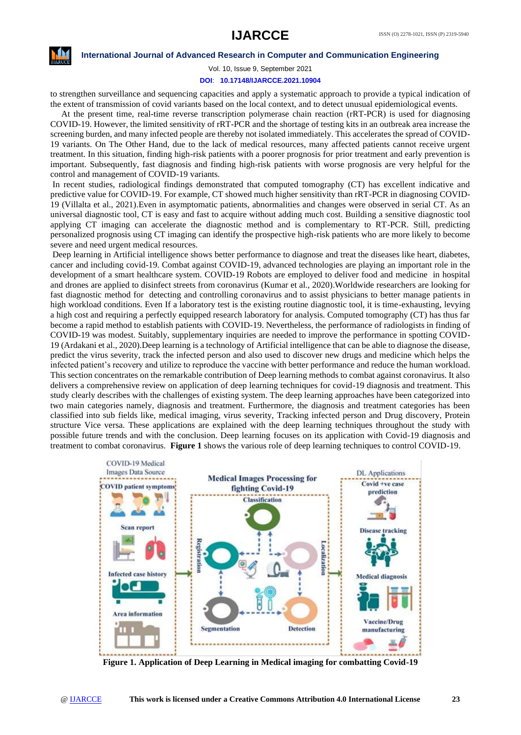

Vol. 10, Issue 9, September 2021 **DOI**: **10.17148/IJARCCE.2021.10904**

to strengthen surveillance and sequencing capacities and apply a systematic approach to provide a typical indication of the extent of transmission of covid variants based on the local context, and to detect unusual epidemiological events.

 At the present time, real-time reverse transcription polymerase chain reaction (rRT-PCR) is used for diagnosing COVID-19. However, the limited sensitivity of rRT-PCR and the shortage of testing kits in an outbreak area increase the screening burden, and many infected people are thereby not isolated immediately. This accelerates the spread of COVID-19 variants. On The Other Hand, due to the lack of medical resources, many affected patients cannot receive urgent treatment. In this situation, finding high-risk patients with a poorer prognosis for prior treatment and early prevention is important. Subsequently, fast diagnosis and finding high-risk patients with worse prognosis are very helpful for the control and management of COVID-19 variants.

In recent studies, radiological findings demonstrated that computed tomography (CT) has excellent indicative and predictive value for COVID-19. For example, CT showed much higher sensitivity than rRT-PCR in diagnosing COVID-19 (Villalta et al., 2021).Even in asymptomatic patients, abnormalities and changes were observed in serial CT. As an universal diagnostic tool, CT is easy and fast to acquire without adding much cost. Building a sensitive diagnostic tool applying CT imaging can accelerate the diagnostic method and is complementary to RT-PCR. Still, predicting personalized prognosis using CT imaging can identify the prospective high-risk patients who are more likely to become severe and need urgent medical resources.

Deep learning in Artificial intelligence shows better performance to diagnose and treat the diseases like heart, diabetes, cancer and including covid-19. Combat against COVID-19, advanced technologies are playing an important role in the development of a smart healthcare system. COVID-19 Robots are employed to deliver food and medicine in hospital and drones are applied to disinfect streets from coronavirus (Kumar et al., 2020).Worldwide researchers are looking for fast diagnostic method for detecting and controlling coronavirus and to assist physicians to better manage patients in high workload conditions. Even If a laboratory test is the existing routine diagnostic tool, it is time-exhausting, levying a high cost and requiring a perfectly equipped research laboratory for analysis. Computed tomography (CT) has thus far become a rapid method to establish patients with COVID-19. Nevertheless, the performance of radiologists in finding of COVID-19 was modest. Suitably, supplementary inquiries are needed to improve the performance in spotting COVID-19 (Ardakani et al., 2020).Deep learning is a technology of Artificial intelligence that can be able to diagnose the disease, predict the virus severity, track the infected person and also used to discover new drugs and medicine which helps the infected patient's recovery and utilize to reproduce the vaccine with better performance and reduce the human workload. This section concentrates on the remarkable contribution of Deep learning methods to combat against coronavirus. It also delivers a comprehensive review on application of deep learning techniques for covid-19 diagnosis and treatment. This study clearly describes with the challenges of existing system. The deep learning approaches have been categorized into two main categories namely, diagnosis and treatment. Furthermore, the diagnosis and treatment categories has been classified into sub fields like, medical imaging, virus severity, Tracking infected person and Drug discovery, Protein structure Vice versa. These applications are explained with the deep learning techniques throughout the study with possible future trends and with the conclusion. Deep learning focuses on its application with Covid-19 diagnosis and treatment to combat coronavirus. **Figure 1** shows the various role of deep learning techniques to control COVID-19.



**Figure 1. Application of Deep Learning in Medical imaging for combatting Covid-19**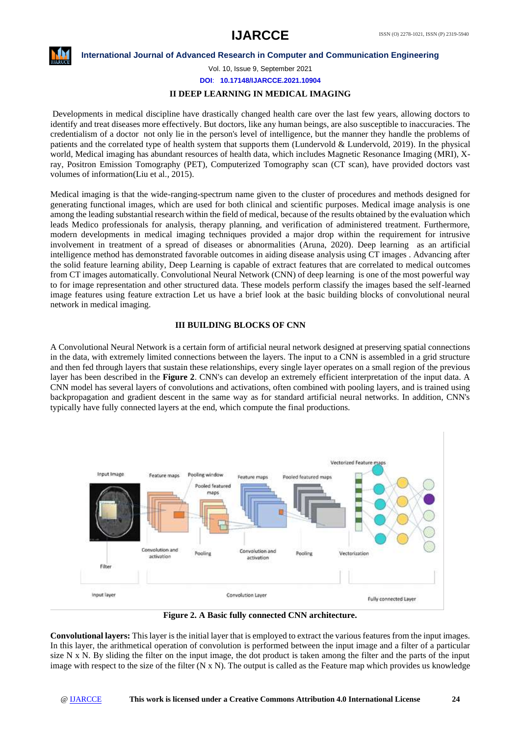

Vol. 10, Issue 9, September 2021

**DOI**: **10.17148/IJARCCE.2021.10904**

# **II DEEP LEARNING IN MEDICAL IMAGING**

Developments in medical discipline have drastically changed health care over the last few years, allowing doctors to identify and treat diseases more effectively. But doctors, like any human beings, are also susceptible to inaccuracies. The credentialism of a doctor not only lie in the person's level of intelligence, but the manner they handle the problems of patients and the correlated type of health system that supports them (Lundervold & Lundervold, 2019). In the physical world, Medical imaging has abundant resources of health data, which includes Magnetic Resonance Imaging (MRI), Xray, Positron Emission Tomography (PET), Computerized Tomography scan (CT scan), have provided doctors vast volumes of information(Liu et al., 2015).

Medical imaging is that the wide-ranging-spectrum name given to the cluster of procedures and methods designed for generating functional images, which are used for both clinical and scientific purposes. Medical image analysis is one among the leading substantial research within the field of medical, because of the results obtained by the evaluation which leads Medico professionals for analysis, therapy planning, and verification of administered treatment. Furthermore, modern developments in medical imaging techniques provided a major drop within the requirement for intrusive involvement in treatment of a spread of diseases or abnormalities (Aruna, 2020). Deep learning as an artificial intelligence method has demonstrated favorable outcomes in aiding disease analysis using CT images . Advancing after the solid feature learning ability, Deep Learning is capable of extract features that are correlated to medical outcomes from CT images automatically. Convolutional Neural Network (CNN) of deep learning is one of the most powerful way to for image representation and other structured data. These models perform classify the images based the self-learned image features using feature extraction Let us have a brief look at the basic building blocks of convolutional neural network in medical imaging.

# **III BUILDING BLOCKS OF CNN**

A Convolutional Neural Network is a certain form of artificial neural network designed at preserving spatial connections in the data, with extremely limited connections between the layers. The input to a CNN is assembled in a grid structure and then fed through layers that sustain these relationships, every single layer operates on a small region of the previous layer has been described in the **Figure 2**. CNN's can develop an extremely efficient interpretation of the input data. A CNN model has several layers of convolutions and activations, often combined with pooling layers, and is trained using backpropagation and gradient descent in the same way as for standard artificial neural networks. In addition, CNN's typically have fully connected layers at the end, which compute the final productions.



**Figure 2. A Basic fully connected CNN architecture.**

**Convolutional layers:** This layer is the initial layer that is employed to extract the various features from the input images. In this layer, the arithmetical operation of convolution is performed between the input image and a filter of a particular size  $N \times N$ . By sliding the filter on the input image, the dot product is taken among the filter and the parts of the input image with respect to the size of the filter  $(N \times N)$ . The output is called as the Feature map which provides us knowledge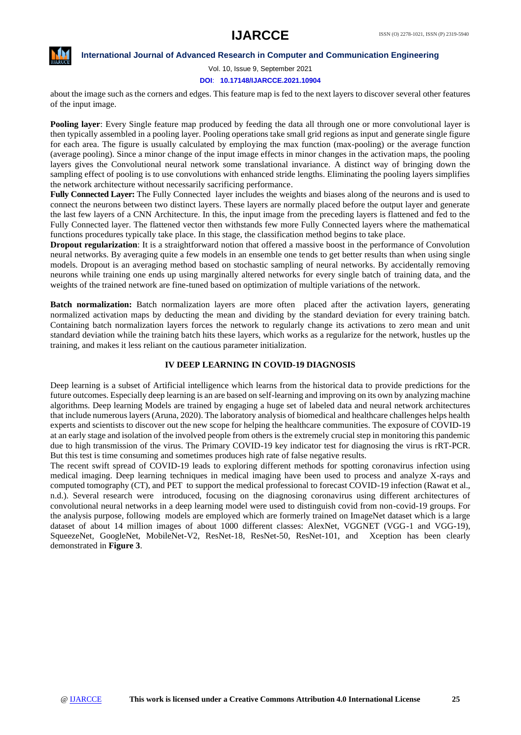

Vol. 10, Issue 9, September 2021

**DOI**: **10.17148/IJARCCE.2021.10904**

about the image such as the corners and edges. This feature map is fed to the next layers to discover several other features of the input image.

**Pooling layer**: Every Single feature map produced by feeding the data all through one or more convolutional layer is then typically assembled in a pooling layer. Pooling operations take small grid regions as input and generate single figure for each area. The figure is usually calculated by employing the max function (max-pooling) or the average function (average pooling). Since a minor change of the input image effects in minor changes in the activation maps, the pooling layers gives the Convolutional neural network some translational invariance. A distinct way of bringing down the sampling effect of pooling is to use convolutions with enhanced stride lengths. Eliminating the pooling layers simplifies the network architecture without necessarily sacrificing performance.

**Fully Connected Layer:** The Fully Connected layer includes the weights and biases along of the neurons and is used to connect the neurons between two distinct layers. These layers are normally placed before the output layer and generate the last few layers of a CNN Architecture. In this, the input image from the preceding layers is flattened and fed to the Fully Connected layer. The flattened vector then withstands few more Fully Connected layers where the mathematical functions procedures typically take place. In this stage, the classification method begins to take place.

**Dropout regularization**: It is a straightforward notion that offered a massive boost in the performance of Convolution neural networks. By averaging quite a few models in an ensemble one tends to get better results than when using single models. Dropout is an averaging method based on stochastic sampling of neural networks. By accidentally removing neurons while training one ends up using marginally altered networks for every single batch of training data, and the weights of the trained network are fine-tuned based on optimization of multiple variations of the network.

**Batch normalization:** Batch normalization layers are more often placed after the activation layers, generating normalized activation maps by deducting the mean and dividing by the standard deviation for every training batch. Containing batch normalization layers forces the network to regularly change its activations to zero mean and unit standard deviation while the training batch hits these layers, which works as a regularize for the network, hustles up the training, and makes it less reliant on the cautious parameter initialization.

# **IV DEEP LEARNING IN COVID-19 DIAGNOSIS**

Deep learning is a subset of Artificial intelligence which learns from the historical data to provide predictions for the future outcomes. Especially deep learning is an are based on self-learning and improving on its own by analyzing machine algorithms. Deep learning Models are trained by engaging a huge set of labeled data and neural network architectures that include numerous layers (Aruna, 2020). The laboratory analysis of biomedical and healthcare challenges helps health experts and scientists to discover out the new scope for helping the healthcare communities. The exposure of COVID-19 at an early stage and isolation of the involved people from others is the extremely crucial step in monitoring this pandemic due to high transmission of the virus. The Primary COVID-19 key indicator test for diagnosing the virus is rRT-PCR. But this test is time consuming and sometimes produces high rate of false negative results.

The recent swift spread of COVID-19 leads to exploring different methods for spotting coronavirus infection using medical imaging. Deep learning techniques in medical imaging have been used to process and analyze X-rays and computed tomography (CT), and PET to support the medical professional to forecast COVID-19 infection (Rawat et al., n.d.). Several research were introduced, focusing on the diagnosing coronavirus using different architectures of convolutional neural networks in a deep learning model were used to distinguish covid from non-covid-19 groups. For the analysis purpose, following models are employed which are formerly trained on ImageNet dataset which is a large dataset of about 14 million images of about 1000 different classes: AlexNet, VGGNET (VGG-1 and VGG-19), SqueezeNet, GoogleNet, MobileNet-V2, ResNet-18, ResNet-50, ResNet-101, and Xception has been clearly demonstrated in **Figure 3**.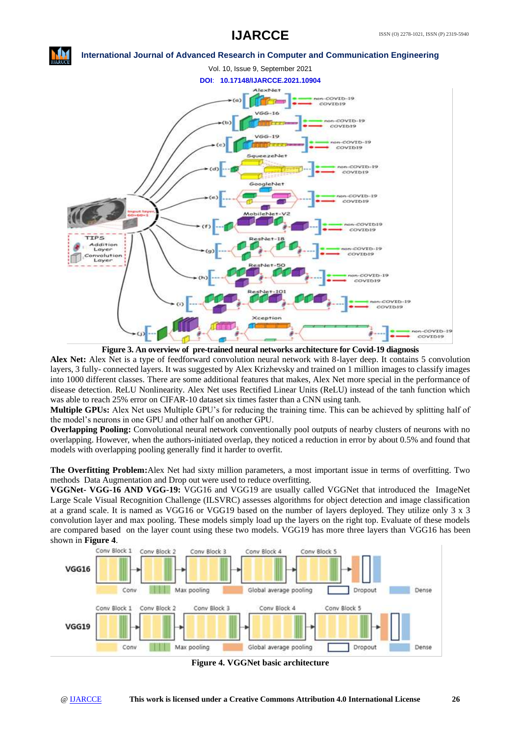# **IJARCCE**



**Figure 3. An overview of pre-trained neural networks architecture for Covid-19 diagnosis**

**Alex Net:** Alex Net is a type of feedforward convolution neural network with 8-layer deep. It contains 5 convolution layers, 3 fully- connected layers. It was suggested by Alex Krizhevsky and trained on 1 million images to classify images into 1000 different classes. There are some additional features that makes, Alex Net more special in the performance of disease detection. ReLU Nonlinearity. Alex Net uses Rectified Linear Units (ReLU) instead of the tanh function which was able to reach 25% error on CIFAR-10 dataset six times faster than a CNN using tanh.

**Multiple GPUs:** Alex Net uses Multiple GPU's for reducing the training time. This can be achieved by splitting half of the model's neurons in one GPU and other half on another GPU.

**Overlapping Pooling:** Convolutional neural network conventionally pool outputs of nearby clusters of neurons with no overlapping. However, when the authors-initiated overlap, they noticed a reduction in error by about 0.5% and found that models with overlapping pooling generally find it harder to overfit.

**The Overfitting Problem:**Alex Net had sixty million parameters, a most important issue in terms of overfitting. Two methods Data Augmentation and Drop out were used to reduce overfitting.

**VGGNet- VGG-16 AND VGG-19:** VGG16 and VGG19 are usually called VGGNet that introduced the ImageNet Large Scale Visual Recognition Challenge (ILSVRC) assesses algorithms for object detection and image classification at a grand scale. It is named as VGG16 or VGG19 based on the number of layers deployed. They utilize only 3 x 3 convolution layer and max pooling. These models simply load up the layers on the right top. Evaluate of these models are compared based on the layer count using these two models. VGG19 has more three layers than VGG16 has been shown in **Figure 4**.



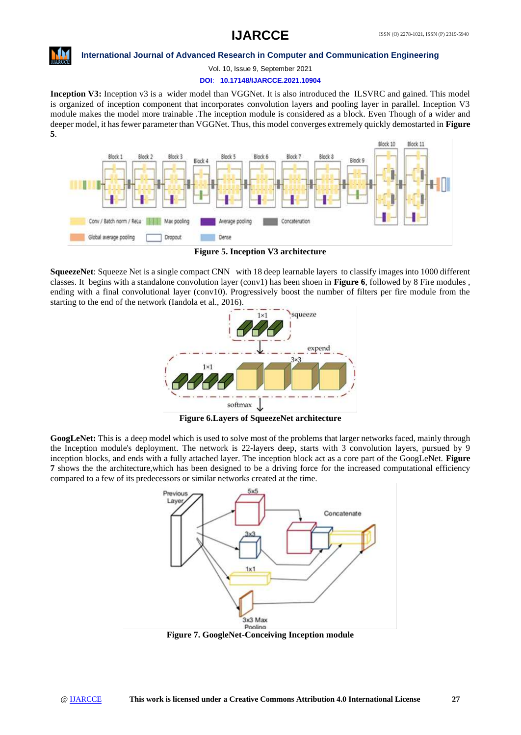

Vol. 10, Issue 9, September 2021

#### **DOI**: **10.17148/IJARCCE.2021.10904**

**Inception V3:** Inception v3 is a wider model than VGGNet. It is also introduced the ILSVRC and gained. This model is organized of inception component that incorporates convolution layers and pooling layer in parallel. Inception V3 module makes the model more trainable .The inception module is considered as a block. Even Though of a wider and deeper model, it has fewer parameter than VGGNet. Thus, this model converges extremely quickly demostarted in **Figure 5**.



**Figure 5. Inception V3 architecture**

**SqueezeNet**: Squeeze Net is a single compact CNN with 18 deep learnable layers to classify images into 1000 different classes. It begins with a standalone convolution layer (conv1) has been shoen in **Figure 6**, followed by 8 Fire modules , ending with a final convolutional layer (conv10). Progressively boost the number of filters per fire module from the starting to the end of the network (Iandola et al., 2016).



**Figure 6.Layers of SqueezeNet architecture**

**GoogLeNet:** This is a deep model which is used to solve most of the problems that larger networks faced, mainly through the Inception module's deployment. The network is 22-layers deep, starts with 3 convolution layers, pursued by 9 inception blocks, and ends with a fully attached layer. The inception block act as a core part of the GoogLeNet. **Figure 7** shows the the architecture,which has been designed to be a driving force for the increased computational efficiency compared to a few of its predecessors or similar networks created at the time.



**Figure 7. GoogleNet-Conceiving Inception module**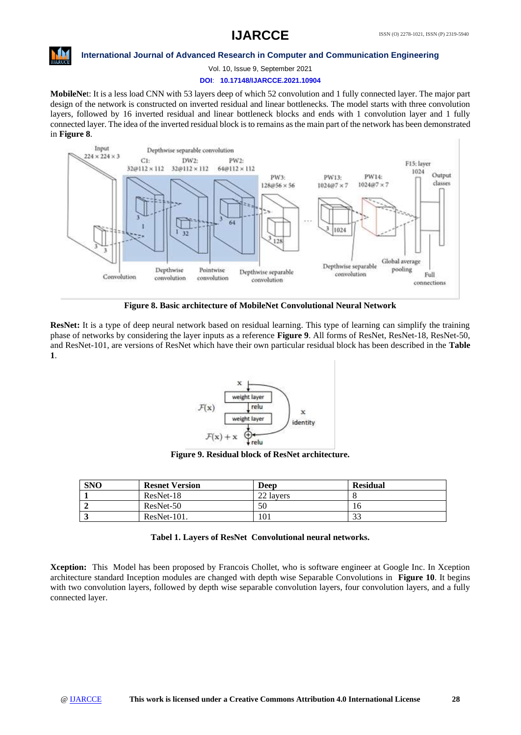

Vol. 10, Issue 9, September 2021

#### **DOI**: **10.17148/IJARCCE.2021.10904**

**MobileNe**t: It is a less load CNN with 53 layers deep of which 52 convolution and 1 fully connected layer. The major part design of the network is constructed on inverted residual and linear bottlenecks. The model starts with three convolution layers, followed by 16 inverted residual and linear bottleneck blocks and ends with 1 convolution layer and 1 fully connected layer. The idea of the inverted residual block is to remains as the main part of the network has been demonstrated in **Figure 8**.



**Figure 8. Basic architecture of MobileNet Convolutional Neural Network**

**ResNet:** It is a type of deep neural network based on residual learning. This type of learning can simplify the training phase of networks by considering the layer inputs as a reference **Figure 9**. All forms of ResNet, ResNet-18, ResNet-50, and ResNet-101, are versions of ResNet which have their own particular residual block has been described in the **Table 1**.



**Figure 9. Residual block of ResNet architecture.**

| <b>SNO</b> | <b>Resnet Version</b> | Deep      | <b>Residual</b> |
|------------|-----------------------|-----------|-----------------|
|            | ResNet-18             | 22 layers |                 |
|            | ResNet-50             | 50        | 10              |
|            | $ResNet-101.$         | 101       | $\mathcal{L}$   |

**Tabel 1. Layers of ResNet Convolutional neural networks.**

**Xception:** This Model has been proposed by Francois Chollet, who is software engineer at Google Inc. In Xception architecture standard Inception modules are changed with depth wise Separable Convolutions in **Figure 10**. It begins with two convolution layers, followed by depth wise separable convolution layers, four convolution layers, and a fully connected layer.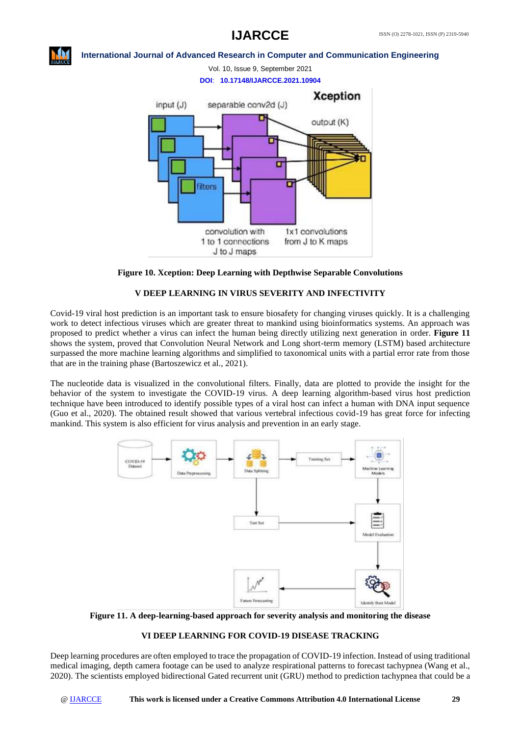# **IJARCCE**



# **International Journal of Advanced Research in Computer and Communication Engineering**



# **Figure 10. Xception: Deep Learning with Depthwise Separable Convolutions**

# **V DEEP LEARNING IN VIRUS SEVERITY AND INFECTIVITY**

Covid-19 viral host prediction is an important task to ensure biosafety for changing viruses quickly. It is a challenging work to detect infectious viruses which are greater threat to mankind using bioinformatics systems. An approach was proposed to predict whether a virus can infect the human being directly utilizing next generation in order. **Figure 11** shows the system, proved that Convolution Neural Network and Long short-term memory (LSTM) based architecture surpassed the more machine learning algorithms and simplified to taxonomical units with a partial error rate from those that are in the training phase (Bartoszewicz et al., 2021).

The nucleotide data is visualized in the convolutional filters. Finally, data are plotted to provide the insight for the behavior of the system to investigate the COVID-19 virus. A deep learning algorithm-based virus host prediction technique have been introduced to identify possible types of a viral host can infect a human with DNA input sequence (Guo et al., 2020). The obtained result showed that various vertebral infectious covid-19 has great force for infecting mankind. This system is also efficient for virus analysis and prevention in an early stage.



**Figure 11. A deep-learning-based approach for severity analysis and monitoring the disease**

# **VI DEEP LEARNING FOR COVID-19 DISEASE TRACKING**

Deep learning procedures are often employed to trace the propagation of COVID-19 infection. Instead of using traditional medical imaging, depth camera footage can be used to analyze respirational patterns to forecast tachypnea (Wang et al., 2020). The scientists employed bidirectional Gated recurrent unit (GRU) method to prediction tachypnea that could be a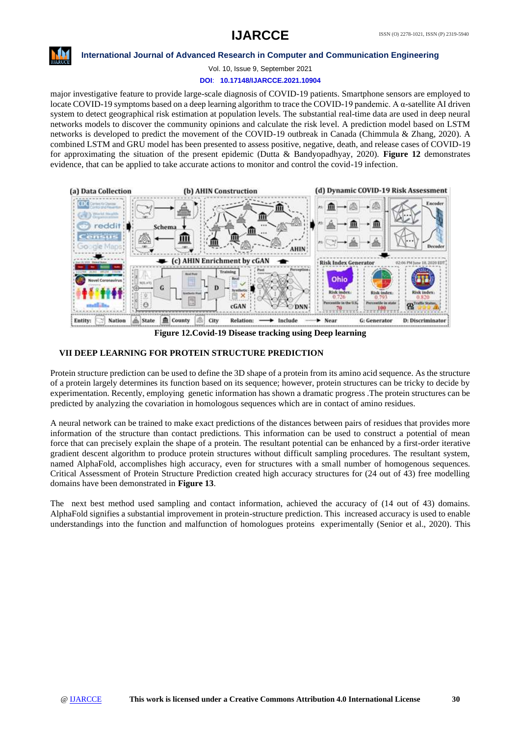

Vol. 10, Issue 9, September 2021

# **DOI**: **10.17148/IJARCCE.2021.10904**

major investigative feature to provide large-scale diagnosis of COVID-19 patients. Smartphone sensors are employed to locate COVID-19 symptoms based on a deep learning algorithm to trace the COVID-19 pandemic. A α-satellite AI driven system to detect geographical risk estimation at population levels. The substantial real-time data are used in deep neural networks models to discover the community opinions and calculate the risk level. A prediction model based on LSTM networks is developed to predict the movement of the COVID-19 outbreak in Canada (Chimmula & Zhang, 2020). A combined LSTM and GRU model has been presented to assess positive, negative, death, and release cases of COVID-19 for approximating the situation of the present epidemic (Dutta & Bandyopadhyay, 2020). **Figure 12** demonstrates evidence, that can be applied to take accurate actions to monitor and control the covid-19 infection.



**Figure 12.Covid-19 Disease tracking using Deep learning**

### **VII DEEP LEARNING FOR PROTEIN STRUCTURE PREDICTION**

Protein structure prediction can be used to define the 3D shape of a protein from its amino acid sequence. As the structure of a protein largely determines its function based on its sequence; however, protein structures can be tricky to decide by experimentation. Recently, employing genetic information has shown a dramatic progress .The protein structures can be predicted by analyzing the covariation in homologous sequences which are in contact of amino residues.

A neural network can be trained to make exact predictions of the distances between pairs of residues that provides more information of the structure than contact predictions. This information can be used to construct a potential of mean force that can precisely explain the shape of a protein. The resultant potential can be enhanced by a first-order iterative gradient descent algorithm to produce protein structures without difficult sampling procedures. The resultant system, named AlphaFold, accomplishes high accuracy, even for structures with a small number of homogenous sequences. Critical Assessment of Protein Structure Prediction created high accuracy structures for (24 out of 43) free modelling domains have been demonstrated in **Figure 13**.

The next best method used sampling and contact information, achieved the accuracy of (14 out of 43) domains. AlphaFold signifies a substantial improvement in protein-structure prediction. This increased accuracy is used to enable understandings into the function and malfunction of homologues proteins experimentally (Senior et al., 2020). This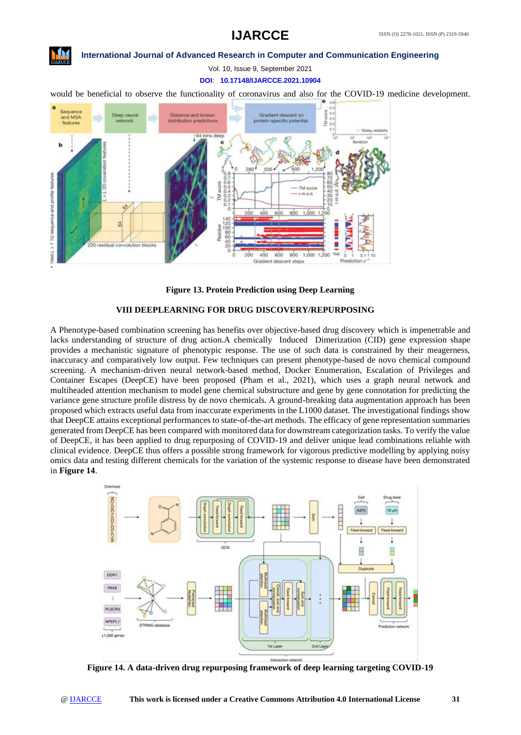# **IJARCCE**



### **International Journal of Advanced Research in Computer and Communication Engineering**

Vol. 10, Issue 9, September 2021

**DOI**: **10.17148/IJARCCE.2021.10904**

would be beneficial to observe the functionality of coronavirus and also for the COVID-19 medicine development.



**Figure 13. Protein Prediction using Deep Learning**

### **VIII DEEPLEARNING FOR DRUG DISCOVERY/REPURPOSING**

A Phenotype-based combination screening has benefits over objective-based drug discovery which is impenetrable and lacks understanding of structure of drug action.A chemically Induced Dimerization (CID) gene expression shape provides a mechanistic signature of phenotypic response. The use of such data is constrained by their meagerness, inaccuracy and comparatively low output. Few techniques can present phenotype-based de novo chemical compound screening. A mechanism-driven neural network-based method, Docker Enumeration, Escalation of Privileges and Container Escapes (DeepCE) have been proposed (Pham et al., 2021), which uses a graph neural network and multiheaded attention mechanism to model gene chemical substructure and gene by gene connotation for predicting the variance gene structure profile distress by de novo chemicals. A ground-breaking data augmentation approach has been proposed which extracts useful data from inaccurate experiments in the L1000 dataset. The investigational findings show that DeepCE attains exceptional performances to state-of-the-art methods. The efficacy of gene representation summaries generated from DeepCE has been compared with monitored data for downstream categorization tasks. To verify the value of DeepCE, it has been applied to drug repurposing of COVID-19 and deliver unique lead combinations reliable with clinical evidence. DeepCE thus offers a possible strong framework for vigorous predictive modelling by applying noisy omics data and testing different chemicals for the variation of the systemic response to disease have been demonstrated in **Figure 14**.



**Figure 14. A data-driven drug repurposing framework of deep learning targeting COVID-19**